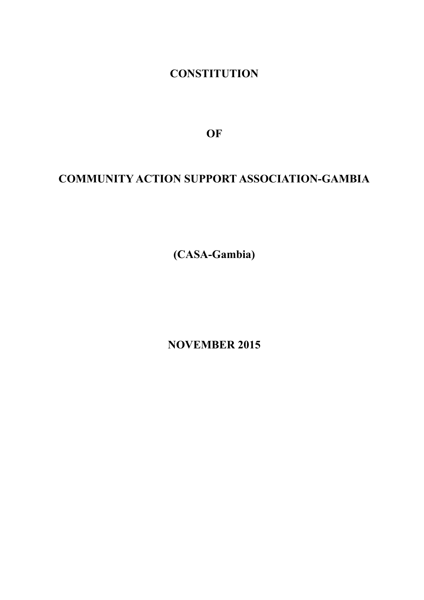**CONSTITUTION**

**OF**

# **COMMUNITY ACTION SUPPORT ASSOCIATION-GAMBIA**

**(CASA-Gambia)**

**NOVEMBER 2015**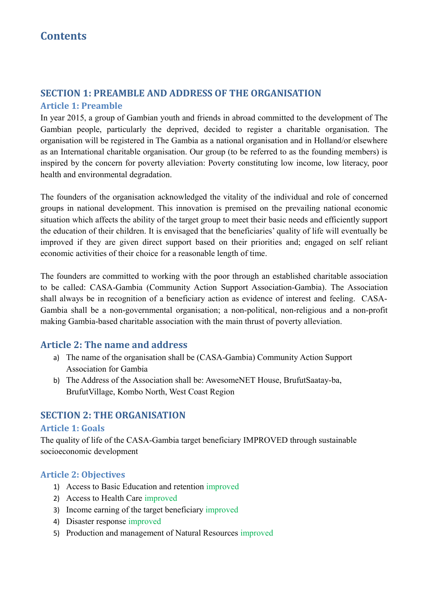# **SECTION 1: PREAMBLE AND ADDRESS OF THE ORGANISATION**

#### **Article 1: Preamble**

In year 2015, a group of Gambian youth and friends in abroad committed to the development of The Gambian people, particularly the deprived, decided to register a charitable organisation. The organisation will be registered in The Gambia as a national organisation and in Holland/or elsewhere as an International charitable organisation. Our group (to be referred to as the founding members) is inspired by the concern for poverty alleviation: Poverty constituting low income, low literacy, poor health and environmental degradation.

The founders of the organisation acknowledged the vitality of the individual and role of concerned groups in national development. This innovation is premised on the prevailing national economic situation which affects the ability of the target group to meet their basic needs and efficiently support the education of their children. It is envisaged that the beneficiaries' quality of life will eventually be improved if they are given direct support based on their priorities and; engaged on self reliant economic activities of their choice for a reasonable length of time.

The founders are committed to working with the poor through an established charitable association to be called: CASA-Gambia (Community Action Support Association-Gambia). The Association shall always be in recognition of a beneficiary action as evidence of interest and feeling. CASA-Gambia shall be a non-governmental organisation; a non-political, non-religious and a non-profit making Gambia-based charitable association with the main thrust of poverty alleviation.

## **Article 2: The name and address**

- a) The name of the organisation shall be (CASA-Gambia) Community Action Support Association for Gambia
- b) The Address of the Association shall be: AwesomeNET House, BrufutSaatay-ba, BrufutVillage, Kombo North, West Coast Region

## **SECTION 2: THE ORGANISATION**

#### **Article 1: Goals**

The quality of life of the CASA-Gambia target beneficiary IMPROVED through sustainable socioeconomic development

#### **Article 2: Objectives**

- 1) Access to Basic Education and retention improved
- 2) Access to Health Care improved
- 3) Income earning of the target beneficiary improved
- 4) Disaster response improved
- 5) Production and management of Natural Resources improved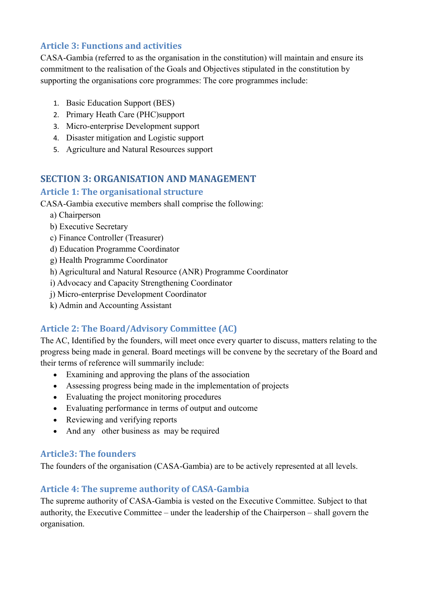## **Article 3: Functions and activities**

CASA-Gambia (referred to as the organisation in the constitution) will maintain and ensure its commitment to the realisation of the Goals and Objectives stipulated in the constitution by supporting the organisations core programmes: The core programmes include:

- 1. Basic Education Support (BES)
- 2. Primary Heath Care (PHC)support
- 3. Micro-enterprise Development support
- 4. Disaster mitigation and Logistic support
- 5. Agriculture and Natural Resources support

## **SECTION 3: ORGANISATION AND MANAGEMENT**

## **Article 1: The organisational structure**

CASA-Gambia executive members shall comprise the following:

- a) Chairperson
- b) Executive Secretary
- c) Finance Controller (Treasurer)
- d) Education Programme Coordinator
- g) Health Programme Coordinator
- h) Agricultural and Natural Resource (ANR) Programme Coordinator
- i) Advocacy and Capacity Strengthening Coordinator
- j) Micro-enterprise Development Coordinator
- k) Admin and Accounting Assistant

# **Article 2: The Board/Advisory Committee (AC)**

The AC, Identified by the founders, will meet once every quarter to discuss, matters relating to the progress being made in general. Board meetings will be convene by the secretary of the Board and their terms of reference will summarily include:

- Examining and approving the plans of the association
- Assessing progress being made in the implementation of projects
- Evaluating the project monitoring procedures
- Evaluating performance in terms of output and outcome
- Reviewing and verifying reports
- And any other business as may be required

## **Article3: The founders**

The founders of the organisation (CASA-Gambia) are to be actively represented at all levels.

# **Article 4: The supreme authority of CASA-Gambia**

The supreme authority of CASA-Gambia is vested on the Executive Committee. Subject to that authority, the Executive Committee – under the leadership of the Chairperson – shall govern the organisation.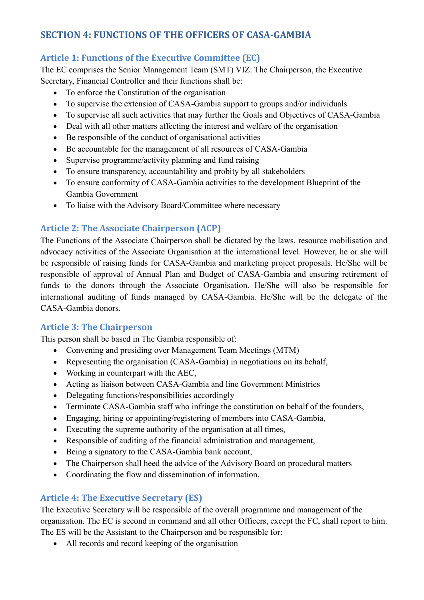# **SECTION 4: FUNCTIONS OF THE OFFICERS OF CASA-GAMBIA**

# **Article 1: Functions of the Executive Committee (EC)**

The EC comprises the Senior Management Team (SMT) VIZ: The Chairperson, the Executive Secretary, Financial Controller and their functions shall be:

- To enforce the Constitution of the organisation
- To supervise the extension of CASA-Gambia support to groups and/or individuals
- To supervise all such activities that may further the Goals and Objectives of CASA-Gambia
- Deal with all other matters affecting the interest and welfare of the organisation
- Be responsible of the conduct of organisational activities
- Be accountable for the management of all resources of CASA-Gambia
- Supervise programme/activity planning and fund raising
- To ensure transparency, accountability and probity by all stakeholders
- To ensure conformity of CASA-Gambia activities to the development Blueprint of the Gambia Government
- To liaise with the Advisory Board/Committee where necessary

# **Article 2: The Associate Chairperson (ACP)**

The Functions of the Associate Chairperson shall be dictated by the laws, resource mobilisation and advocacy activities of the Associate Organisation at the international level. However, he or she will be responsible of raising funds for CASA-Gambia and marketing project proposals. He/She will be responsible of approval of Annual Plan and Budget of CASA-Gambia and ensuring retirement of funds to the donors through the Associate Organisation. He/She will also be responsible for international auditing of funds managed by CASA-Gambia. He/She will be the delegate of the CASA-Gambia donors.

## **Article 3: The Chairperson**

This person shall be based in The Gambia responsible of:

- Convening and presiding over Management Team Meetings (MTM)
- Representing the organisation (CASA-Gambia) in negotiations on its behalf,
- Working in counterpart with the AEC.
- Acting as liaison between CASA-Gambia and line Government Ministries
- Delegating functions/responsibilities accordingly
- Terminate CASA-Gambia staff who infringe the constitution on behalf of the founders,
- Engaging, hiring or appointing/registering of members into CASA-Gambia,
- Executing the supreme authority of the organisation at all times,
- Responsible of auditing of the financial administration and management,
- Being a signatory to the CASA-Gambia bank account,
- The Chairperson shall heed the advice of the Advisory Board on procedural matters
- Coordinating the flow and dissemination of information,

# **Article 4: The Executive Secretary (ES)**

The Executive Secretary will be responsible of the overall programme and management of the organisation. The EC is second in command and all other Officers, except the FC, shall report to him. The ES will be the Assistant to the Chairperson and be responsible for:

All records and record keeping of the organisation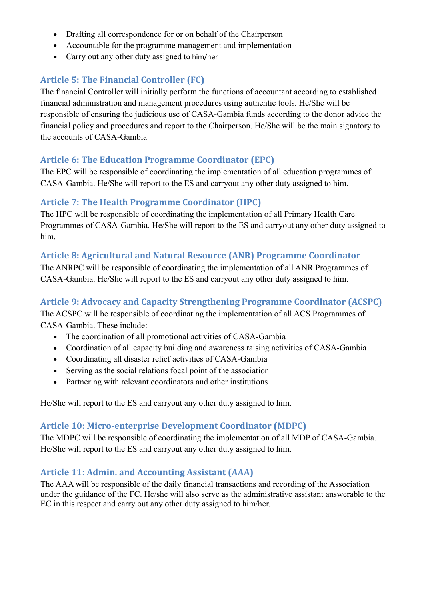- Drafting all correspondence for or on behalf of the Chairperson
- Accountable for the programme management and implementation
- Carry out any other duty assigned to him/her

# **Article 5: The Financial Controller (FC)**

The financial Controller will initially perform the functions of accountant according to established financial administration and management procedures using authentic tools. He/She will be responsible of ensuring the judicious use of CASA-Gambia funds according to the donor advice the financial policy and procedures and report to the Chairperson. He/She will be the main signatory to the accounts of CASA-Gambia

## **Article 6: The Education Programme Coordinator (EPC)**

The EPC will be responsible of coordinating the implementation of all education programmes of CASA-Gambia. He/She will report to the ES and carryout any other duty assigned to him.

## **Article 7: The Health Programme Coordinator (HPC)**

The HPC will be responsible of coordinating the implementation of all Primary Health Care Programmes of CASA-Gambia. He/She will report to the ES and carryout any other duty assigned to him.

## **Article 8: Agricultural and Natural Resource (ANR) Programme Coordinator**

The ANRPC will be responsible of coordinating the implementation of all ANR Programmes of CASA-Gambia. He/She will report to the ES and carryout any other duty assigned to him.

## **Article 9: Advocacy and Capacity Strengthening Programme Coordinator (ACSPC)**

The ACSPC will be responsible of coordinating the implementation of all ACS Programmes of CASA-Gambia. These include:

- The coordination of all promotional activities of CASA-Gambia
- Coordination of all capacity building and awareness raising activities of CASA-Gambia
- Coordinating all disaster relief activities of CASA-Gambia
- Serving as the social relations focal point of the association
- Partnering with relevant coordinators and other institutions

He/She will report to the ES and carryout any other duty assigned to him.

#### **Article 10: Micro-enterprise Development Coordinator (MDPC)**

The MDPC will be responsible of coordinating the implementation of all MDP of CASA-Gambia. He/She will report to the ES and carryout any other duty assigned to him.

#### **Article 11: Admin. and Accounting Assistant (AAA)**

The AAA will be responsible of the daily financial transactions and recording of the Association under the guidance of the FC. He/she will also serve as the administrative assistant answerable to the EC in this respect and carry out any other duty assigned to him/her.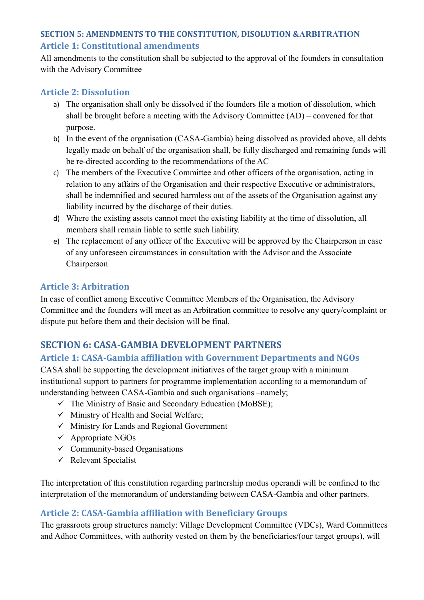# **SECTION 5: AMENDMENTS TO THE CONSTITUTION, DISOLUTION &ARBITRATION Article 1: Constitutional amendments**

All amendments to the constitution shall be subjected to the approval of the founders in consultation with the Advisory Committee

#### **Article 2: Dissolution**

- a) The organisation shall only be dissolved if the founders file a motion of dissolution, which shall be brought before a meeting with the Advisory Committee (AD) – convened for that purpose.
- b) In the event of the organisation (CASA-Gambia) being dissolved as provided above, all debts legally made on behalf of the organisation shall, be fully discharged and remaining funds will be re-directed according to the recommendations of the AC
- c) The members of the Executive Committee and other officers of the organisation, acting in relation to any affairs of the Organisation and their respective Executive or administrators, shall be indemnified and secured harmless out of the assets of the Organisation against any liability incurred by the discharge of their duties.
- d) Where the existing assets cannot meet the existing liability at the time of dissolution, all members shall remain liable to settle such liability.
- e) The replacement of any officer of the Executive will be approved by the Chairperson in case of any unforeseen circumstances in consultation with the Advisor and the Associate Chairperson

#### **Article 3: Arbitration**

In case of conflict among Executive Committee Members of the Organisation, the Advisory Committee and the founders will meet as an Arbitration committee to resolve any query/complaint or dispute put before them and their decision will be final.

# **SECTION 6: CASA-GAMBIA DEVELOPMENT PARTNERS**

#### **Article 1: CASA-Gambia affiliation with Government Departments and NGOs**

CASA shall be supporting the development initiatives of the target group with a minimum institutional support to partners for programme implementation according to a memorandum of understanding between CASA-Gambia and such organisations –namely;

- $\checkmark$  The Ministry of Basic and Secondary Education (MoBSE);
- $\checkmark$  Ministry of Health and Social Welfare;
- $\checkmark$  Ministry for Lands and Regional Government
- $\checkmark$  Appropriate NGOs
- $\checkmark$  Community-based Organisations
- $\checkmark$  Relevant Specialist

The interpretation of this constitution regarding partnership modus operandi will be confined to the interpretation of the memorandum of understanding between CASA-Gambia and other partners.

#### **Article 2: CASA-Gambia affiliation with Beneficiary Groups**

The grassroots group structures namely: Village Development Committee (VDCs), Ward Committees and Adhoc Committees, with authority vested on them by the beneficiaries/(our target groups), will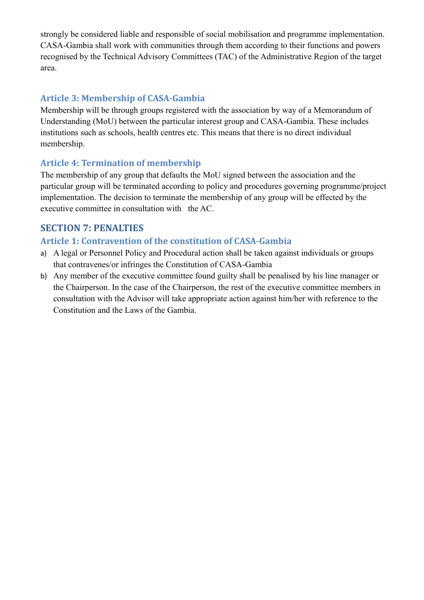strongly be considered liable and responsible of social mobilisation and programme implementation. CASA-Gambia shall work with communities through them according to their functions and powers recognised by the Technical Advisory Committees (TAC) of the Administrative Region of the target area.

#### **Article 3: Membership of CASA-Gambia**

Membership will be through groups registered with the association by way of a Memorandum of Understanding (MoU) between the particular interest group and CASA-Gambia. These includes institutions such as schools, health centres etc. This means that there is no direct individual membership.

#### **Article 4: Termination of membership**

The membership of any group that defaults the MoU signed between the association and the particular group will be terminated according to policy and procedures governing programme/project implementation. The decision to terminate the membership of any group will be effected by the executive committee in consultation with the AC.

## **SECTION 7: PENALTIES**

#### **Article 1: Contravention of the constitution of CASA-Gambia**

- a) A legal or Personnel Policy and Procedural action shall be taken against individuals or groups that contravenes/or infringes the Constitution of CASA-Gambia
- b) Any member of the executive committee found guilty shall be penalised by his line manager or the Chairperson. In the case of the Chairperson, the rest of the executive committee members in consultation with the Advisor will take appropriate action against him/her with reference to the Constitution and the Laws of the Gambia.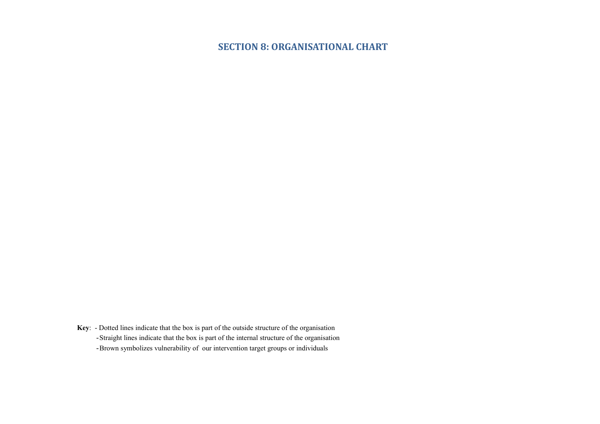## **SECTION 8: ORGANISATIONAL CHART**

**Key**: - Dotted lines indicate that the box is part of the outside structure of the organisation -Straight lines indicate that the box is part of the internal structure of the organisation -Brown symbolizes vulnerability of our intervention target groups or individuals